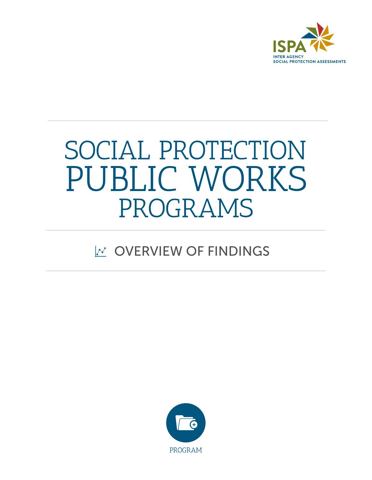

# PUBLIC WORKS SOCIAL PROTECTION PROGRAMS

#### $\mathbb{W}$  OVERVIEW OF FINDINGS

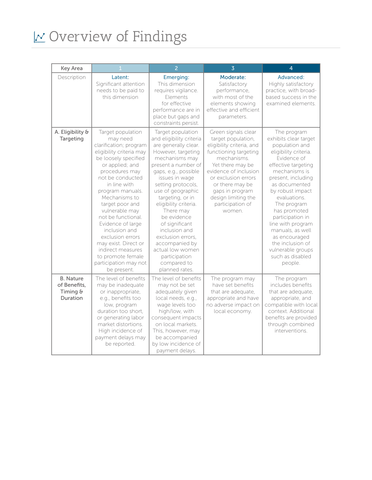| Key Area                                                 |                                                                                                                                                                                                                                                                                                                                                                                                                                                          | $\overline{2}$                                                                                                                                                                                                                                                                                                                                                                                                                                     | $\overline{3}$                                                                                                                                                                                                                                                                | $\overline{4}$                                                                                                                                                                                                                                                                                                                                                                                         |
|----------------------------------------------------------|----------------------------------------------------------------------------------------------------------------------------------------------------------------------------------------------------------------------------------------------------------------------------------------------------------------------------------------------------------------------------------------------------------------------------------------------------------|----------------------------------------------------------------------------------------------------------------------------------------------------------------------------------------------------------------------------------------------------------------------------------------------------------------------------------------------------------------------------------------------------------------------------------------------------|-------------------------------------------------------------------------------------------------------------------------------------------------------------------------------------------------------------------------------------------------------------------------------|--------------------------------------------------------------------------------------------------------------------------------------------------------------------------------------------------------------------------------------------------------------------------------------------------------------------------------------------------------------------------------------------------------|
| Description                                              | Latent:<br>Significant attention<br>needs to be paid to<br>this dimension                                                                                                                                                                                                                                                                                                                                                                                | Emerging:<br>This dimension<br>requires vigilance.<br>Elements<br>for effective<br>performance are in<br>place but gaps and<br>constraints persist.                                                                                                                                                                                                                                                                                                | Moderate:<br>Satisfactory<br>performance,<br>with most of the<br>elements showing<br>effective and efficient<br>parameters.                                                                                                                                                   | Advanced:<br>Highly satisfactory<br>practice, with broad-<br>based success in the<br>examined elements.                                                                                                                                                                                                                                                                                                |
| A. Eligibility &<br>Targeting                            | Target population<br>may need<br>clarification; program<br>eligibility criteria may<br>be loosely specified<br>or applied; and<br>procedures may<br>not be conducted<br>in line with<br>program manuals.<br>Mechanisms to<br>target poor and<br>vulnerable may<br>not be functional.<br>Evidence of large<br>inclusion and<br>exclusion errors<br>may exist. Direct or<br>indirect measures<br>to promote female<br>participation may not<br>be present. | Target population<br>and eligibility criteria<br>are generally clear.<br>However, targeting<br>mechanisms may<br>present a number of<br>gaps, e.g., possible<br>issues in wage<br>setting protocols,<br>use of geographic<br>targeting, or in<br>eligibility criteria.<br>There may<br>be evidence<br>of significant<br>inclusion and<br>exclusion errors,<br>accompanied by<br>actual low women<br>participation<br>compared to<br>planned rates. | Green signals clear<br>target population,<br>eligibility criteria, and<br>functioning targeting<br>mechanisms.<br>Yet there may be<br>evidence of inclusion<br>or exclusion errors<br>or there may be<br>gaps in program<br>design limiting the<br>participation of<br>women. | The program<br>exhibits clear target<br>population and<br>eligibility criteria.<br>Evidence of<br>effective targeting<br>mechanisms is<br>present, including<br>as documented<br>by robust impact<br>evaluations.<br>The program<br>has promoted<br>participation in<br>line with program<br>manuals, as well<br>as encouraged<br>the inclusion of<br>vulnerable groups<br>such as disabled<br>people. |
| <b>B.</b> Nature<br>of Benefits,<br>Timing &<br>Duration | The level of benefits<br>may be inadequate<br>or inappropriate,<br>e.g., benefits too<br>low, program<br>duration too short.<br>or generating labor<br>market distortions.<br>High incidence of<br>payment delays may<br>be reported.                                                                                                                                                                                                                    | The level of benefits<br>may not be set<br>adequately given<br>local needs, e.g.,<br>wage levels too<br>high/low, with<br>consequent impacts<br>on local markets.<br>This, however, may<br>be accompanied<br>by low incidence of<br>payment delays.                                                                                                                                                                                                | The program may<br>have set benefits<br>that are adequate,<br>appropriate and have<br>no adverse impact on<br>local economy.                                                                                                                                                  | The program<br>includes benefits<br>that are adequate,<br>appropriate, and<br>compatible with local<br>context. Additional<br>benefits are provided<br>through combined<br>interventions.                                                                                                                                                                                                              |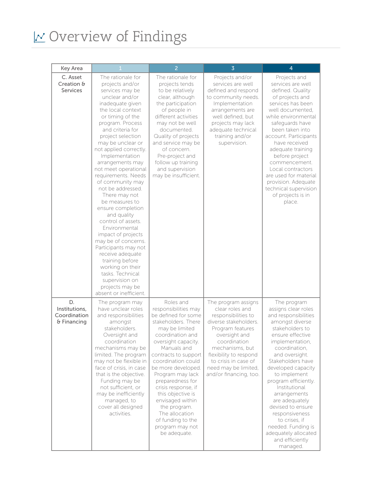| Key Area                                           |                                                                                                                                                                                                                                                                                                                                                                                                                                                                                                                                                                                                                                                                                                                   | $\overline{2}$                                                                                                                                                                                                                                                                                                                                                                                                                    | $\overline{3}$                                                                                                                                                                                                                                                     | 4                                                                                                                                                                                                                                                                                                                                                                                                                                                     |
|----------------------------------------------------|-------------------------------------------------------------------------------------------------------------------------------------------------------------------------------------------------------------------------------------------------------------------------------------------------------------------------------------------------------------------------------------------------------------------------------------------------------------------------------------------------------------------------------------------------------------------------------------------------------------------------------------------------------------------------------------------------------------------|-----------------------------------------------------------------------------------------------------------------------------------------------------------------------------------------------------------------------------------------------------------------------------------------------------------------------------------------------------------------------------------------------------------------------------------|--------------------------------------------------------------------------------------------------------------------------------------------------------------------------------------------------------------------------------------------------------------------|-------------------------------------------------------------------------------------------------------------------------------------------------------------------------------------------------------------------------------------------------------------------------------------------------------------------------------------------------------------------------------------------------------------------------------------------------------|
| C. Asset<br>Creation &<br><b>Services</b>          | The rationale for<br>projects and/or<br>services may be<br>unclear and/or<br>inadequate given<br>the local context<br>or timing of the<br>program. Process<br>and criteria for<br>project selection<br>may be unclear or<br>not applied correctly.<br>Implementation<br>arrangements may<br>not meet operational<br>requirements. Needs<br>of community may<br>not be addressed.<br>There may not<br>be measures to<br>ensure completion<br>and quality<br>control of assets.<br>Environmental<br>impact of projects<br>may be of concerns.<br>Participants may not<br>receive adequate<br>training before<br>working on their<br>tasks. Technical<br>supervision on<br>projects may be<br>absent or inefficient. | The rationale for<br>projects tends<br>to be relatively<br>clear, although<br>the participation<br>of people in<br>different activities<br>may not be well<br>documented.<br>Quality of projects<br>and service may be<br>of concern.<br>Pre-project and<br>follow up training<br>and supervision<br>may be insufficient.                                                                                                         | Projects and/or<br>services are well<br>defined and respond<br>to community needs.<br>Implementation<br>arrangements are<br>well defined, but<br>projects may lack<br>adequate technical<br>training and/or<br>supervision.                                        | Projects and<br>services are well<br>defined. Quality<br>of projects and<br>services has been<br>well documented,<br>while environmental<br>safeguards have<br>been taken into<br>account. Participants<br>have received<br>adequate training<br>before project<br>commencement.<br>Local contractors<br>are used for material<br>provision. Adequate<br>technical supervision<br>of projects is in<br>place.                                         |
| D.<br>Institutions,<br>Coordination<br>& Financing | The program may<br>have unclear roles<br>and responsibilities<br>amongst<br>stakeholders.<br>Oversight and<br>coordination<br>mechanisms may be<br>limited. The program<br>may not be flexible in<br>face of crisis, in case<br>that is the objective.<br>Funding may be<br>not sufficient, or<br>may be inefficiently<br>managed, to<br>cover all designed<br>activities.                                                                                                                                                                                                                                                                                                                                        | Roles and<br>responsibilities may<br>be defined for some<br>stakeholders. There<br>may be limited<br>coordination and<br>oversight capacity.<br>Manuals and<br>contracts to support<br>coordination could<br>be more developed.<br>Program may lack<br>preparedness for<br>crisis response, if<br>this objective is<br>envisaged within<br>the program.<br>The allocation<br>of funding to the<br>program may not<br>be adequate. | The program assigns<br>clear roles and<br>responsibilities to<br>diverse stakeholders.<br>Program features<br>oversight and<br>coordination<br>mechanisms, but<br>flexibility to respond<br>to crisis in case of<br>need may be limited,<br>and/or financing, too. | The program<br>assigns clear roles<br>and responsibilities<br>amongst diverse<br>stakeholders to<br>ensure effective<br>implementation,<br>coordination,<br>and oversight.<br>Stakeholders have<br>developed capacity<br>to implement<br>program efficiently.<br>Institutional<br>arrangements<br>are adequately<br>devised to ensure<br>responsiveness<br>to crises, if<br>needed. Funding is<br>adequately allocated<br>and efficiently<br>managed. |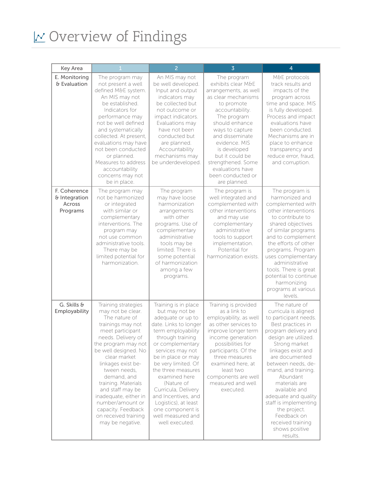| Key Area                                            |                                                                                                                                                                                                                                                                                                                                                                                                        | $\overline{2}$                                                                                                                                                                                                                                                                                                                                                                                            | $\overline{3}$                                                                                                                                                                                                                                                                                                               | 4                                                                                                                                                                                                                                                                                                                                                                                                                          |
|-----------------------------------------------------|--------------------------------------------------------------------------------------------------------------------------------------------------------------------------------------------------------------------------------------------------------------------------------------------------------------------------------------------------------------------------------------------------------|-----------------------------------------------------------------------------------------------------------------------------------------------------------------------------------------------------------------------------------------------------------------------------------------------------------------------------------------------------------------------------------------------------------|------------------------------------------------------------------------------------------------------------------------------------------------------------------------------------------------------------------------------------------------------------------------------------------------------------------------------|----------------------------------------------------------------------------------------------------------------------------------------------------------------------------------------------------------------------------------------------------------------------------------------------------------------------------------------------------------------------------------------------------------------------------|
| E. Monitoring<br>& Evaluation                       | The program may<br>not present a well<br>defined M&E system.<br>An MIS may not<br>be established.<br>Indicators for<br>performance may<br>not be well defined<br>and systematically<br>collected. At present,<br>evaluations may have<br>not been conducted<br>or planned.<br>Measures to address<br>accountability<br>concerns may not<br>be in place.                                                | An MIS may not<br>be well developed.<br>Input and output<br>indicators may<br>be collected but<br>not outcome or<br>impact indicators.<br>Evaluations may<br>have not been<br>conducted but<br>are planned.<br>Accountability<br>mechanisms may<br>be underdeveloped.                                                                                                                                     | The program<br>exhibits clear M&E<br>arrangements, as well<br>as clear mechanisms<br>to promote<br>accountability.<br>The program<br>should enhance<br>ways to capture<br>and disseminate<br>evidence, MIS<br>is developed<br>but it could be<br>strengthened. Some<br>evaluations have<br>been conducted or<br>are planned. | M&E protocols<br>track results and<br>impacts of the<br>program across<br>time and space. MIS<br>is fully developed.<br>Process and impact<br>evaluations have<br>been conducted.<br>Mechanisms are in<br>place to enhance<br>transparency and<br>reduce error, fraud,<br>and corruption.                                                                                                                                  |
| F. Coherence<br>& Integration<br>Across<br>Programs | The program may<br>not be harmonized<br>or integrated<br>with similar or<br>complementary<br>interventions. The<br>program may<br>not use common<br>administrative tools.<br>There may be<br>limited potential for<br>harmonization.                                                                                                                                                                   | The program<br>may have loose<br>harmonization<br>arrangements<br>with other<br>programs. Use of<br>complementary<br>administrative<br>tools may be<br>limited. There is<br>some potential<br>of harmonization<br>among a few<br>programs.                                                                                                                                                                | The program is<br>well integrated and<br>complemented with<br>other interventions<br>and may use<br>complementary<br>administrative<br>tools to support<br>implementation.<br>Potential for<br>harmonization exists.                                                                                                         | The program is<br>harmonized and<br>complemented with<br>other interventions<br>to contribute to<br>shared objectives<br>of similar programs<br>and to complement<br>the efforts of other<br>programs. Program<br>uses complementary<br>administrative<br>tools. There is great<br>potential to continue<br>harmonizing<br>programs at various<br>levels.                                                                  |
| G. Skills &<br>Employability                        | Training strategies<br>may not be clear.<br>The nature of<br>trainings may not<br>meet participant<br>needs. Delivery of<br>the program may not<br>be well designed. No<br>clear market<br>linkages exist be-<br>tween needs,<br>demand, and<br>training. Materials<br>and staff may be<br>inadequate, either in<br>number/amount or<br>capacity. Feedback<br>on received training<br>may be negative. | Training is in place<br>but may not be<br>adequate or up to<br>date. Links to longer<br>term employability<br>through training<br>or complementary<br>services may not<br>be in place or may<br>be very limited. Of<br>the three measures<br>examined here<br>(Nature of<br>Curricula, Delivery<br>and Incentives, and<br>Logistics), at least<br>one component is<br>well measured and<br>well executed. | Training is provided<br>as a link to<br>employability, as well<br>as other services to<br>improve longer term<br>income generation<br>possibilities for<br>participants. Of the<br>three measures<br>examined here, at<br>least two<br>components are well<br>measured and well<br>executed.                                 | The nature of<br>curricula is aligned<br>to participant needs.<br>Best practices in<br>program delivery and<br>design are utilized.<br>Strong market<br>linkages exist and<br>are documented<br>between needs, de-<br>mand, and training.<br>Abundant<br>materials are<br>available and<br>adequate and quality<br>staff is implementing<br>the project.<br>Feedback on<br>received training<br>shows positive<br>results. |